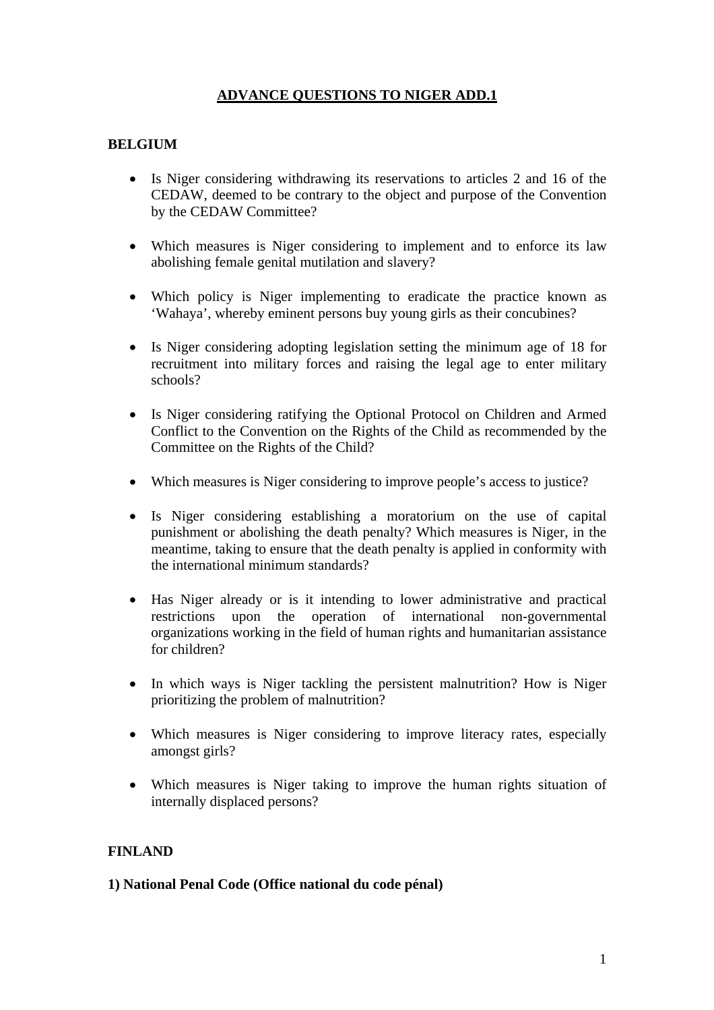# **ADVANCE QUESTIONS TO NIGER ADD.1**

### **BELGIUM**

- Is Niger considering withdrawing its reservations to articles 2 and 16 of the CEDAW, deemed to be contrary to the object and purpose of the Convention by the CEDAW Committee?
- Which measures is Niger considering to implement and to enforce its law abolishing female genital mutilation and slavery?
- Which policy is Niger implementing to eradicate the practice known as 'Wahaya', whereby eminent persons buy young girls as their concubines?
- Is Niger considering adopting legislation setting the minimum age of 18 for recruitment into military forces and raising the legal age to enter military schools?
- Is Niger considering ratifying the Optional Protocol on Children and Armed Conflict to the Convention on the Rights of the Child as recommended by the Committee on the Rights of the Child?
- Which measures is Niger considering to improve people's access to justice?
- Is Niger considering establishing a moratorium on the use of capital punishment or abolishing the death penalty? Which measures is Niger, in the meantime, taking to ensure that the death penalty is applied in conformity with the international minimum standards?
- Has Niger already or is it intending to lower administrative and practical restrictions upon the operation of international non-governmental organizations working in the field of human rights and humanitarian assistance for children?
- In which ways is Niger tackling the persistent malnutrition? How is Niger prioritizing the problem of malnutrition?
- Which measures is Niger considering to improve literacy rates, especially amongst girls?
- Which measures is Niger taking to improve the human rights situation of internally displaced persons?

### **FINLAND**

#### **1) National Penal Code (Office national du code pénal)**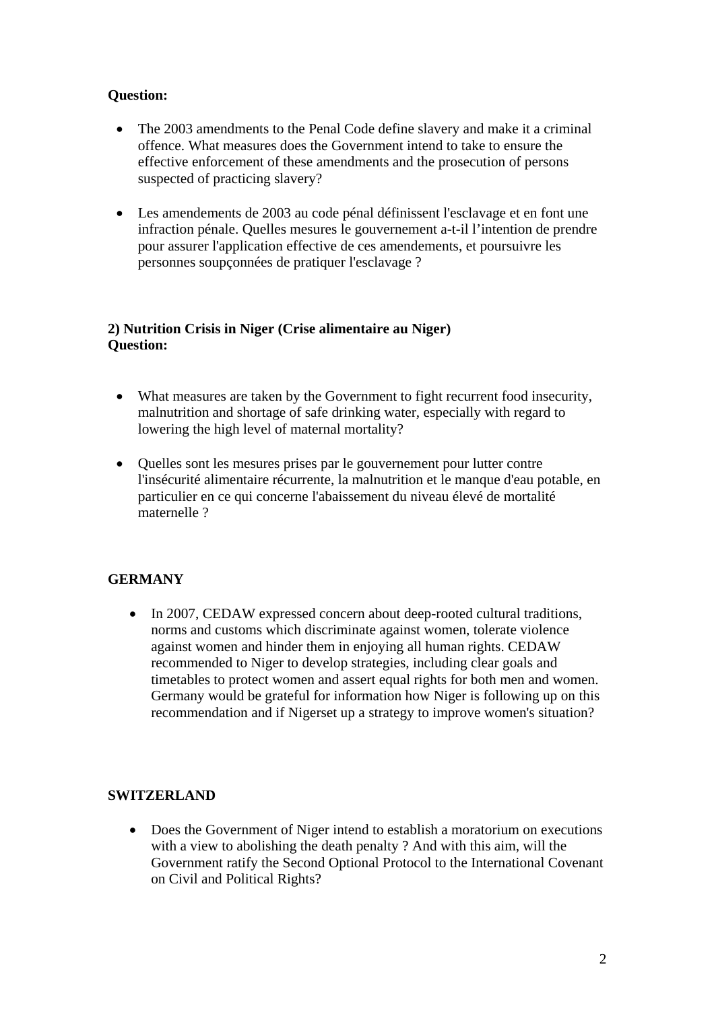### **Question:**

- The 2003 amendments to the Penal Code define slavery and make it a criminal offence. What measures does the Government intend to take to ensure the effective enforcement of these amendments and the prosecution of persons suspected of practicing slavery?
- Les amendements de 2003 au code pénal définissent l'esclavage et en font une infraction pénale. Quelles mesures le gouvernement a-t-il l'intention de prendre pour assurer l'application effective de ces amendements, et poursuivre les personnes soupçonnées de pratiquer l'esclavage ?

#### **2) Nutrition Crisis in Niger (Crise alimentaire au Niger) Question:**

- What measures are taken by the Government to fight recurrent food insecurity, malnutrition and shortage of safe drinking water, especially with regard to lowering the high level of maternal mortality?
- Quelles sont les mesures prises par le gouvernement pour lutter contre l'insécurité alimentaire récurrente, la malnutrition et le manque d'eau potable, en particulier en ce qui concerne l'abaissement du niveau élevé de mortalité maternelle ?

## **GERMANY**

• In 2007, CEDAW expressed concern about deep-rooted cultural traditions, norms and customs which discriminate against women, tolerate violence against women and hinder them in enjoying all human rights. CEDAW recommended to Niger to develop strategies, including clear goals and timetables to protect women and assert equal rights for both men and women. Germany would be grateful for information how Niger is following up on this recommendation and if Nigerset up a strategy to improve women's situation?

### **SWITZERLAND**

• Does the Government of Niger intend to establish a moratorium on executions with a view to abolishing the death penalty ? And with this aim, will the Government ratify the Second Optional Protocol to the International Covenant on Civil and Political Rights?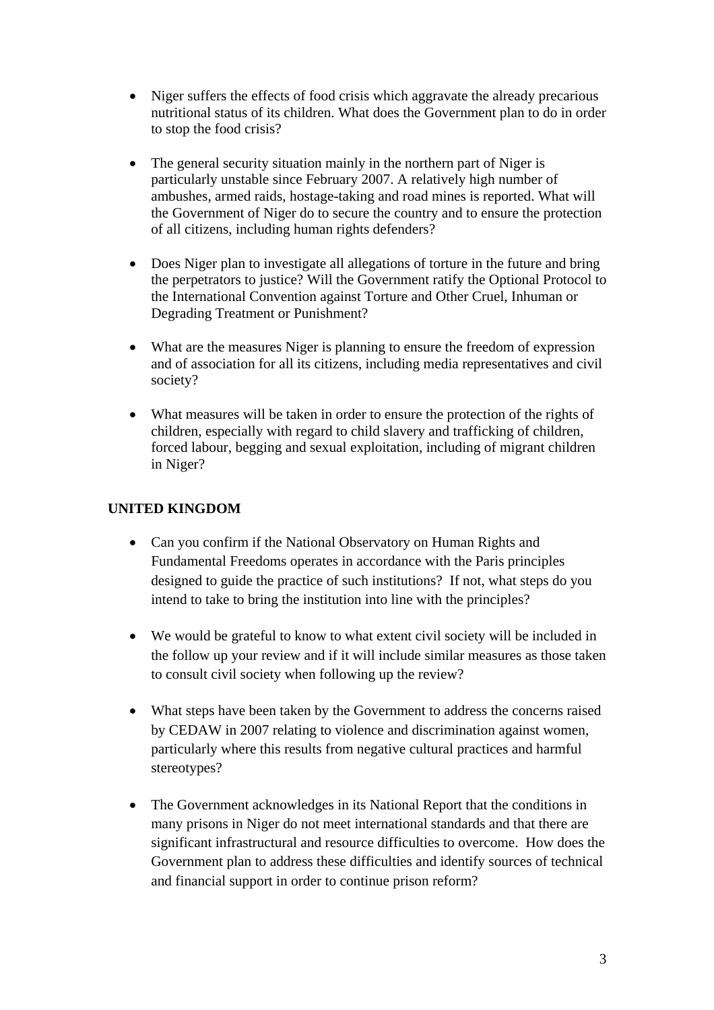- Niger suffers the effects of food crisis which aggravate the already precarious nutritional status of its children. What does the Government plan to do in order to stop the food crisis?
- The general security situation mainly in the northern part of Niger is particularly unstable since February 2007. A relatively high number of ambushes, armed raids, hostage-taking and road mines is reported. What will the Government of Niger do to secure the country and to ensure the protection of all citizens, including human rights defenders?
- Does Niger plan to investigate all allegations of torture in the future and bring the perpetrators to justice? Will the Government ratify the Optional Protocol to the International Convention against Torture and Other Cruel, Inhuman or Degrading Treatment or Punishment?
- What are the measures Niger is planning to ensure the freedom of expression and of association for all its citizens, including media representatives and civil society?
- What measures will be taken in order to ensure the protection of the rights of children, especially with regard to child slavery and trafficking of children, forced labour, begging and sexual exploitation, including of migrant children in Niger?

## **UNITED KINGDOM**

- Can you confirm if the National Observatory on Human Rights and Fundamental Freedoms operates in accordance with the Paris principles designed to guide the practice of such institutions? If not, what steps do you intend to take to bring the institution into line with the principles?
- We would be grateful to know to what extent civil society will be included in the follow up your review and if it will include similar measures as those taken to consult civil society when following up the review?
- What steps have been taken by the Government to address the concerns raised by CEDAW in 2007 relating to violence and discrimination against women, particularly where this results from negative cultural practices and harmful stereotypes?
- The Government acknowledges in its National Report that the conditions in many prisons in Niger do not meet international standards and that there are significant infrastructural and resource difficulties to overcome. How does the Government plan to address these difficulties and identify sources of technical and financial support in order to continue prison reform?